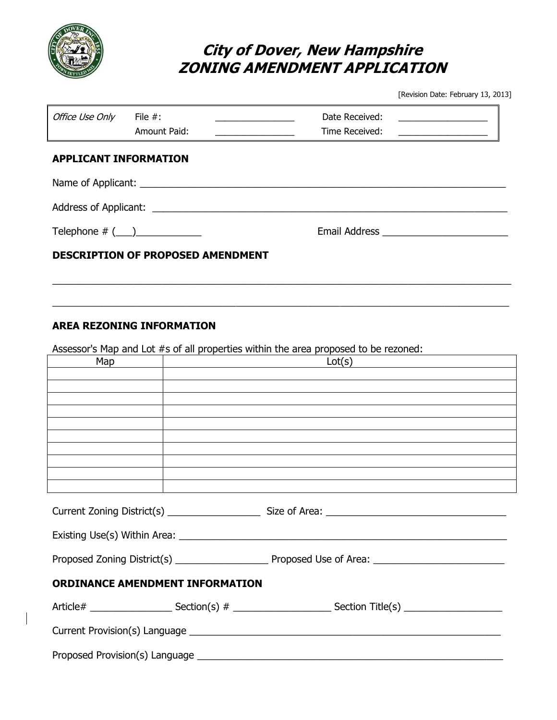

## **City of Dover, New Hampshire ZONING AMENDMENT APPLICATION**

[Revision Date: February 13, 2013]

| Office Use Only File #:                  | Amount Paid: |  | Date Received: _______________<br>Time Received: | <u> 1980 - Andrea Andrew Maria (h. 1980).</u> |  |  |  |
|------------------------------------------|--------------|--|--------------------------------------------------|-----------------------------------------------|--|--|--|
| <b>APPLICANT INFORMATION</b>             |              |  |                                                  |                                               |  |  |  |
| Name of Applicant: Name of Applicant:    |              |  |                                                  |                                               |  |  |  |
|                                          |              |  |                                                  |                                               |  |  |  |
| Telephone $# (\_\_\_\_\_\_\_\_\_\_\_\_$  |              |  |                                                  |                                               |  |  |  |
| <b>DESCRIPTION OF PROPOSED AMENDMENT</b> |              |  |                                                  |                                               |  |  |  |
|                                          |              |  |                                                  |                                               |  |  |  |
|                                          |              |  |                                                  |                                               |  |  |  |

## **AREA REZONING INFORMATION**

Assessor's Map and Lot #s of all properties within the area proposed to be rezoned:

| Map<br><u> 1989 - Johann Barn, fransk politik (d. 1989)</u> |  | Lot(s)                                                                                                         |
|-------------------------------------------------------------|--|----------------------------------------------------------------------------------------------------------------|
|                                                             |  |                                                                                                                |
|                                                             |  |                                                                                                                |
|                                                             |  |                                                                                                                |
|                                                             |  |                                                                                                                |
|                                                             |  |                                                                                                                |
|                                                             |  |                                                                                                                |
|                                                             |  |                                                                                                                |
|                                                             |  |                                                                                                                |
|                                                             |  |                                                                                                                |
|                                                             |  |                                                                                                                |
|                                                             |  |                                                                                                                |
|                                                             |  |                                                                                                                |
| <b>ORDINANCE AMENDMENT INFORMATION</b>                      |  |                                                                                                                |
|                                                             |  | Article# _________________________Section(s) # ___________________________Section Title(s) ___________________ |
|                                                             |  |                                                                                                                |
|                                                             |  |                                                                                                                |